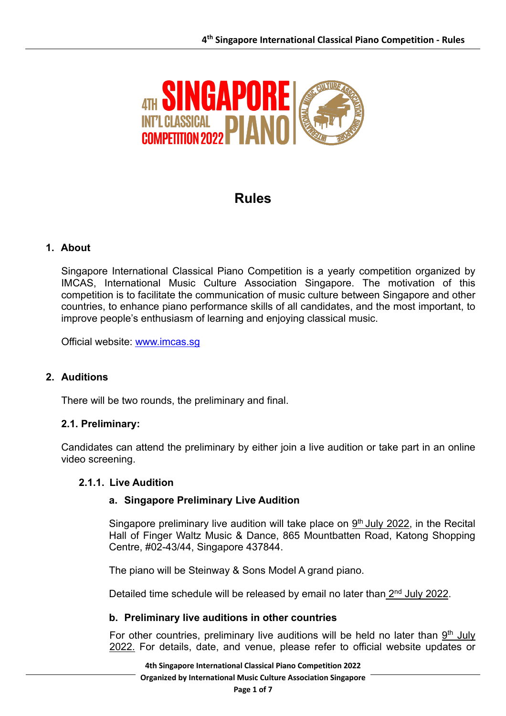

# **Rules**

# **1. About**

Singapore International Classical Piano Competition is a yearly competition organized by IMCAS, International Music Culture Association Singapore. The motivation of this competition is to facilitate the communication of music culture between Singapore and other countries, to enhance piano performance skills of all candidates, and the most important, to improve people's enthusiasm of learning and enjoying classical music.

Official website: www.imcas.sg

## **2. Auditions**

There will be two rounds, the preliminary and final.

## **2.1. Preliminary:**

Candidates can attend the preliminary by either join a live audition or take part in an online video screening.

#### **2.1.1. Live Audition**

#### **a. Singapore Preliminary Live Audition**

Singapore preliminary live audition will take place on  $9<sup>th</sup>$  July 2022, in the Recital Hall of Finger Waltz Music & Dance, 865 Mountbatten Road, Katong Shopping Centre, #02-43/44, Singapore 437844.

The piano will be Steinway & Sons Model A grand piano.

Detailed time schedule will be released by email no later than 2<sup>nd</sup> July 2022.

#### **b. Preliminary live auditions in other countries**

For other countries, preliminary live auditions will be held no later than  $9<sup>th</sup>$  July 2022. For details, date, and venue, please refer to official website updates or

**4th Singapore International Classical Piano Competition 2022 Organized by International Music Culture Association Singapore**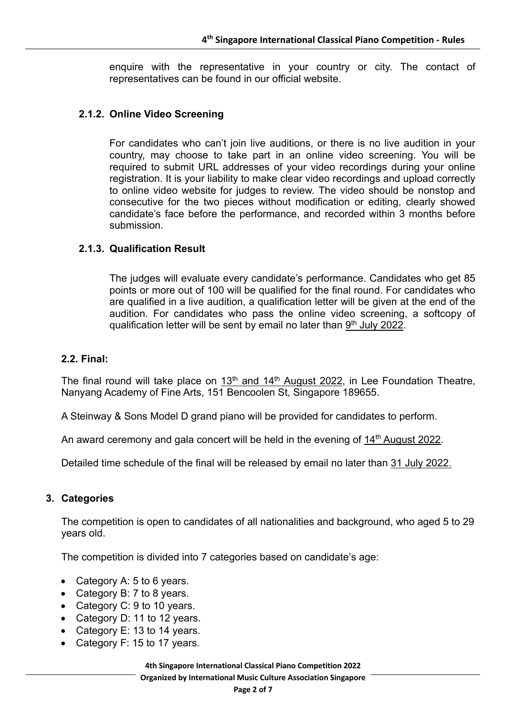enquire with the representative in your country or city. The contact of representatives can be found in our official website.

## **2.1.2. Online Video Screening**

For candidates who can't join live auditions, or there is no live audition in your country, may choose to take part in an online video screening. You will be required to submit URL addresses of your video recordings during your online registration. It is your liability to make clear video recordings and upload correctly to online video website for judges to review. The video should be nonstop and consecutive for the two pieces without modification or editing, clearly showed candidate's face before the performance, and recorded within 3 months before submission.

#### **2.1.3. Qualification Result**

The judges will evaluate every candidate's performance. Candidates who get 85 points or more out of 100 will be qualified for the final round. For candidates who are qualified in a live audition, a qualification letter will be given at the end of the audition. For candidates who pass the online video screening, a softcopy of qualification letter will be sent by email no later than 9<sup>th</sup> July 2022.

#### **2.2. Final:**

The final round will take place on  $13<sup>th</sup>$  and  $14<sup>th</sup>$  August 2022, in Lee Foundation Theatre, Nanyang Academy of Fine Arts, 151 Bencoolen St, Singapore 189655.

A Steinway & Sons Model D grand piano will be provided for candidates to perform.

An award ceremony and gala concert will be held in the evening of  $14<sup>th</sup>$  August 2022.

Detailed time schedule of the final will be released by email no later than 31 July 2022.

#### **3. Categories**

The competition is open to candidates of all nationalities and background, who aged 5 to 29 years old.

The competition is divided into 7 categories based on candidate's age:

- Category A: 5 to 6 years.
- Category B: 7 to 8 years.
- Category C: 9 to 10 years.
- Category D: 11 to 12 years.
- Category E: 13 to 14 years.
- Category F: 15 to 17 years.

**4th Singapore International Classical Piano Competition 2022 Organized by International Music Culture Association Singapore**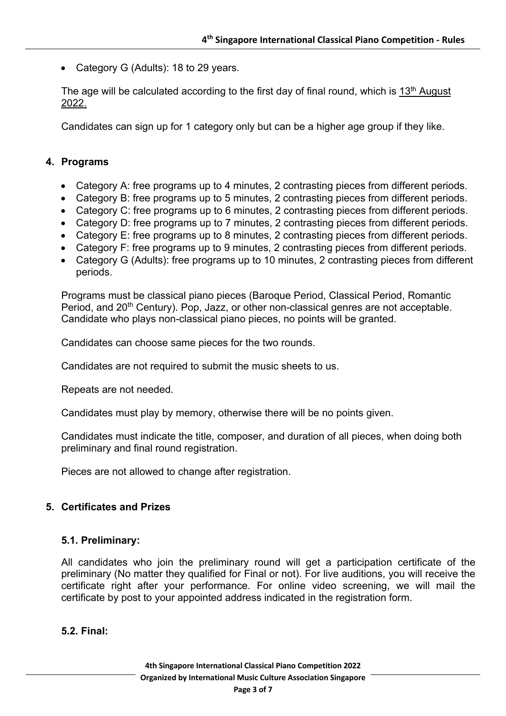• Category G (Adults): 18 to 29 years.

The age will be calculated according to the first day of final round, which is 13<sup>th</sup> August 2022.

Candidates can sign up for 1 category only but can be a higher age group if they like.

#### **4. Programs**

- Category A: free programs up to 4 minutes, 2 contrasting pieces from different periods.
- Category B: free programs up to 5 minutes, 2 contrasting pieces from different periods.
- Category C: free programs up to 6 minutes, 2 contrasting pieces from different periods.
- Category D: free programs up to 7 minutes, 2 contrasting pieces from different periods.
- Category E: free programs up to 8 minutes, 2 contrasting pieces from different periods.
- Category F: free programs up to 9 minutes, 2 contrasting pieces from different periods.
- Category G (Adults): free programs up to 10 minutes, 2 contrasting pieces from different periods.

Programs must be classical piano pieces (Baroque Period, Classical Period, Romantic Period, and 20<sup>th</sup> Century). Pop, Jazz, or other non-classical genres are not acceptable. Candidate who plays non-classical piano pieces, no points will be granted.

Candidates can choose same pieces for the two rounds.

Candidates are not required to submit the music sheets to us.

Repeats are not needed.

Candidates must play by memory, otherwise there will be no points given.

Candidates must indicate the title, composer, and duration of all pieces, when doing both preliminary and final round registration.

Pieces are not allowed to change after registration.

#### **5. Certificates and Prizes**

#### **5.1. Preliminary:**

All candidates who join the preliminary round will get a participation certificate of the preliminary (No matter they qualified for Final or not). For live auditions, you will receive the certificate right after your performance. For online video screening, we will mail the certificate by post to your appointed address indicated in the registration form.

#### **5.2. Final:**

**4th Singapore International Classical Piano Competition 2022 Organized by International Music Culture Association Singapore Page 3 of 7**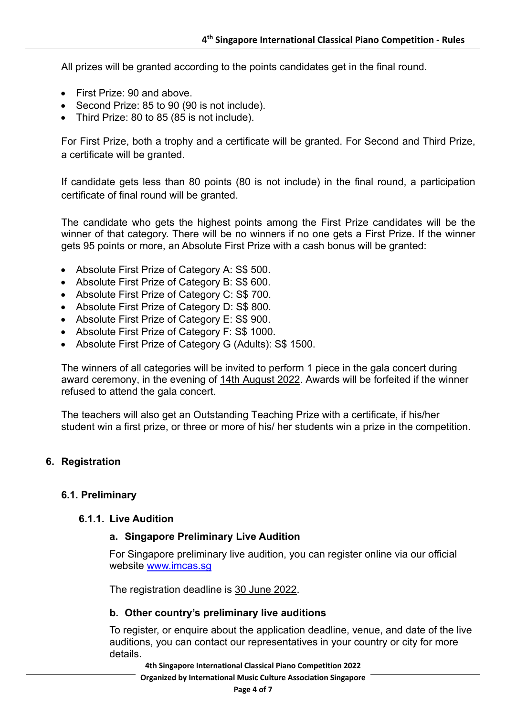All prizes will be granted according to the points candidates get in the final round.

- First Prize: 90 and above.
- Second Prize: 85 to 90 (90 is not include).
- Third Prize: 80 to 85 (85 is not include).

For First Prize, both a trophy and a certificate will be granted. For Second and Third Prize, a certificate will be granted.

If candidate gets less than 80 points (80 is not include) in the final round, a participation certificate of final round will be granted.

The candidate who gets the highest points among the First Prize candidates will be the winner of that category. There will be no winners if no one gets a First Prize. If the winner gets 95 points or more, an Absolute First Prize with a cash bonus will be granted:

- Absolute First Prize of Category A: S\$ 500.
- Absolute First Prize of Category B: S\$ 600.
- Absolute First Prize of Category C: S\$ 700.
- Absolute First Prize of Category D: S\$ 800.
- Absolute First Prize of Category E: S\$ 900.
- Absolute First Prize of Category F: S\$ 1000.
- Absolute First Prize of Category G (Adults): S\$ 1500.

The winners of all categories will be invited to perform 1 piece in the gala concert during award ceremony, in the evening of 14th August 2022. Awards will be forfeited if the winner refused to attend the gala concert.

The teachers will also get an Outstanding Teaching Prize with a certificate, if his/her student win a first prize, or three or more of his/ her students win a prize in the competition.

#### **6. Registration**

#### **6.1. Preliminary**

#### **6.1.1. Live Audition**

#### **a. Singapore Preliminary Live Audition**

For Singapore preliminary live audition, you can register online via our official website www.imcas.sg

The registration deadline is 30 June 2022.

#### **b. Other country's preliminary live auditions**

To register, or enquire about the application deadline, venue, and date of the live auditions, you can contact our representatives in your country or city for more details.

**4th Singapore International Classical Piano Competition 2022**

**Organized by International Music Culture Association Singapore**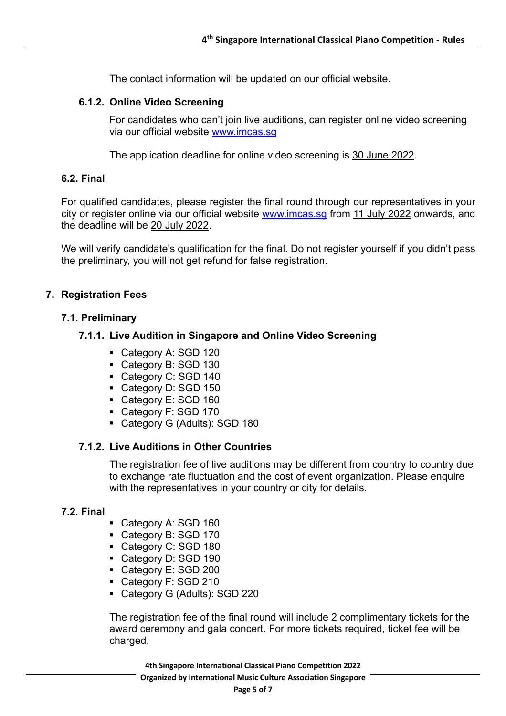The contact information will be updated on our official website.

## **6.1.2. Online Video Screening**

For candidates who can't join live auditions, can register online video screening via our official website www.imcas.sg

The application deadline for online video screening is 30 June 2022.

## **6.2. Final**

For qualified candidates, please register the final round through our representatives in your city or register online via our official website www.imcas.sg from 11 July 2022 onwards, and the deadline will be 20 July 2022.

We will verify candidate's qualification for the final. Do not register yourself if you didn't pass the preliminary, you will not get refund for false registration.

## **7. Registration Fees**

## **7.1. Preliminary**

# **7.1.1. Live Audition in Singapore and Online Video Screening**

- Category A: SGD 120
- Category B: SGD 130
- Category C: SGD 140
- Category D: SGD 150
- Category E: SGD 160
- Category F: SGD 170
- Category G (Adults): SGD 180

## **7.1.2. Live Auditions in Other Countries**

The registration fee of live auditions may be different from country to country due to exchange rate fluctuation and the cost of event organization. Please enquire with the representatives in your country or city for details.

## **7.2. Final**

- Category A: SGD 160
- Category B: SGD 170
- Category C: SGD 180
- Category D: SGD 190
- Category E: SGD 200
- Category F: SGD 210
- § Category G (Adults): SGD 220

The registration fee of the final round will include 2 complimentary tickets for the award ceremony and gala concert. For more tickets required, ticket fee will be charged.

**4th Singapore International Classical Piano Competition 2022 Organized by International Music Culture Association Singapore**